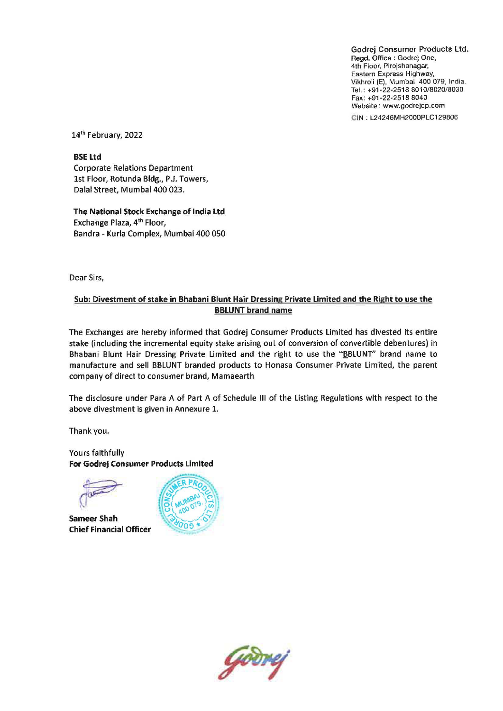Godrej Consumer Products Ltd. Regd. Office: Godrej One, 4th Floor, Pirojshanagar, Eastern Express Highway, Vikhroli (E), Mumbai 400 079, India. Tel.: +91-22-2518 8010/8020/8030 Fax: +91-22-2518 8040 Website: www.godrejcp.com

CIN : L24246MH2000PLC129806

14'h February, 2022

BSE Ltd Corporate Relations Department 1st Floor, Rotunda Bldg., P.J. Towers, Dalal Street, Mumbai 400 023.

The National Stock Exchange of India Ltd Exchange Plaza, 4'h Floor, Bandra - Kurla Complex, Mumbai 400 050

Dear Sirs,

## Sub: Divestment of stake in Bhabani Blunt Hair Dressing Private Limited and the Right to use the BBLUNT brand name

The Exchanges are hereby informed that Godrej Consumer Products Limited has divested its entire stake (including the incremental equity stake arising out of conversion of convertible debentures) in Bhabani Blunt Hair Dressing Private Limited and the right to use the "BBLUNT" brand name to manufacture and sell BBLUNT branded products to Honasa Consumer Private Limited, the parent company of direct to consumer brand, Mamaearth

The disclosure under Para A of Part A of Schedule III of the Listing Regulations with respect to the above divestment is given in Annexure 1.

Thank you.

Yours faithfully For Godrej Consumer Products Limited

*F.*

Sameer Shah Chief Financial Officer